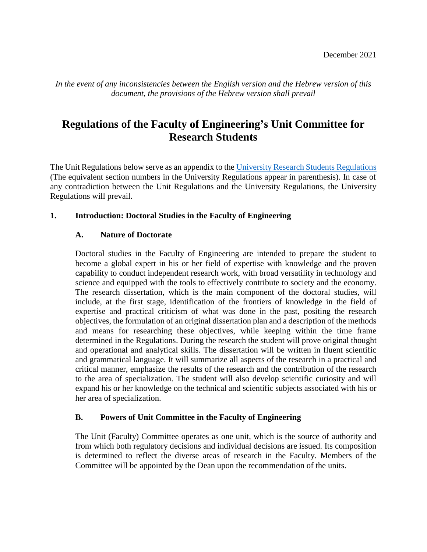*In the event of any inconsistencies between the English version and the Hebrew version of this document, the provisions of the Hebrew version shall prevail*

# **Regulations of the Faculty of Engineering's Unit Committee for Research Students**

The Unit Regulations below serve as an appendix to the [University Research Students Regulations](http://www2.tau.ac.il/yoets/12-005.pdf) (The equivalent section numbers in the University Regulations appear in parenthesis). In case of any contradiction between the Unit Regulations and the University Regulations, the University Regulations will prevail.

#### **1. Introduction: Doctoral Studies in the Faculty of Engineering**

#### **A. Nature of Doctorate**

Doctoral studies in the Faculty of Engineering are intended to prepare the student to become a global expert in his or her field of expertise with knowledge and the proven capability to conduct independent research work, with broad versatility in technology and science and equipped with the tools to effectively contribute to society and the economy. The research dissertation, which is the main component of the doctoral studies, will include, at the first stage, identification of the frontiers of knowledge in the field of expertise and practical criticism of what was done in the past, positing the research objectives, the formulation of an original dissertation plan and a description of the methods and means for researching these objectives, while keeping within the time frame determined in the Regulations. During the research the student will prove original thought and operational and analytical skills. The dissertation will be written in fluent scientific and grammatical language. It will summarize all aspects of the research in a practical and critical manner, emphasize the results of the research and the contribution of the research to the area of specialization. The student will also develop scientific curiosity and will expand his or her knowledge on the technical and scientific subjects associated with his or her area of specialization.

#### **B. Powers of Unit Committee in the Faculty of Engineering**

The Unit (Faculty) Committee operates as one unit, which is the source of authority and from which both regulatory decisions and individual decisions are issued. Its composition is determined to reflect the diverse areas of research in the Faculty. Members of the Committee will be appointed by the Dean upon the recommendation of the units.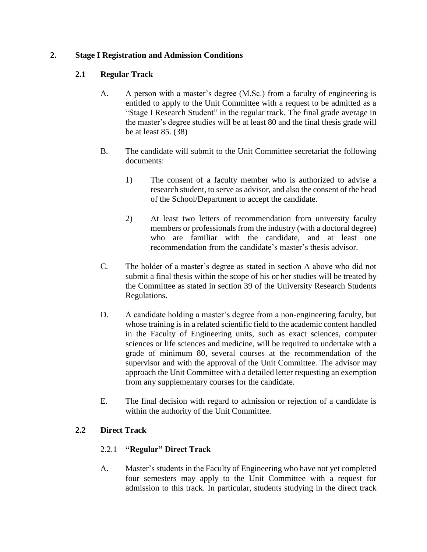### **2. Stage I Registration and Admission Conditions**

# **2.1 Regular Track**

- A. A person with a master's degree (M.Sc.) from a faculty of engineering is entitled to apply to the Unit Committee with a request to be admitted as a "Stage I Research Student" in the regular track. The final grade average in the master's degree studies will be at least 80 and the final thesis grade will be at least 85. (38)
- B. The candidate will submit to the Unit Committee secretariat the following documents:
	- 1) The consent of a faculty member who is authorized to advise a research student, to serve as advisor, and also the consent of the head of the School/Department to accept the candidate.
	- 2) At least two letters of recommendation from university faculty members or professionals from the industry (with a doctoral degree) who are familiar with the candidate, and at least one recommendation from the candidate's master's thesis advisor.
- C. The holder of a master's degree as stated in section A above who did not submit a final thesis within the scope of his or her studies will be treated by the Committee as stated in section 39 of the University Research Students Regulations.
- D. A candidate holding a master's degree from a non-engineering faculty, but whose training is in a related scientific field to the academic content handled in the Faculty of Engineering units, such as exact sciences, computer sciences or life sciences and medicine, will be required to undertake with a grade of minimum 80, several courses at the recommendation of the supervisor and with the approval of the Unit Committee. The advisor may approach the Unit Committee with a detailed letter requesting an exemption from any supplementary courses for the candidate.
- E. The final decision with regard to admission or rejection of a candidate is within the authority of the Unit Committee.

# **2.2 Direct Track**

# 2.2.1 **"Regular" Direct Track**

A. Master's students in the Faculty of Engineering who have not yet completed four semesters may apply to the Unit Committee with a request for admission to this track. In particular, students studying in the direct track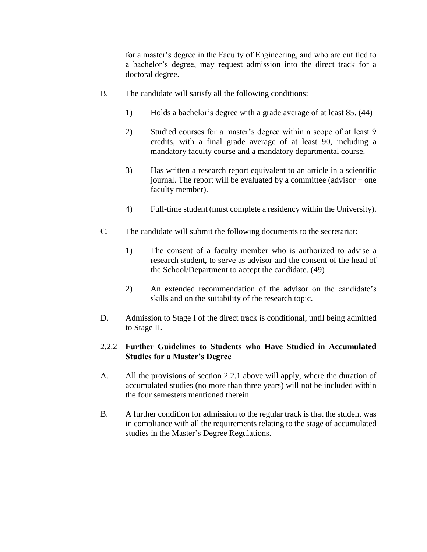for a master's degree in the Faculty of Engineering, and who are entitled to a bachelor's degree, may request admission into the direct track for a doctoral degree.

- B. The candidate will satisfy all the following conditions:
	- 1) Holds a bachelor's degree with a grade average of at least 85. (44)
	- 2) Studied courses for a master's degree within a scope of at least 9 credits, with a final grade average of at least 90, including a mandatory faculty course and a mandatory departmental course.
	- 3) Has written a research report equivalent to an article in a scientific journal. The report will be evaluated by a committee (advisor + one faculty member).
	- 4) Full-time student (must complete a residency within the University).
- C. The candidate will submit the following documents to the secretariat:
	- 1) The consent of a faculty member who is authorized to advise a research student, to serve as advisor and the consent of the head of the School/Department to accept the candidate. (49)
	- 2) An extended recommendation of the advisor on the candidate's skills and on the suitability of the research topic.
- D. Admission to Stage I of the direct track is conditional, until being admitted to Stage II.

#### 2.2.2 **Further Guidelines to Students who Have Studied in Accumulated Studies for a Master's Degree**

- A. All the provisions of section 2.2.1 above will apply, where the duration of accumulated studies (no more than three years) will not be included within the four semesters mentioned therein.
- B. A further condition for admission to the regular track is that the student was in compliance with all the requirements relating to the stage of accumulated studies in the Master's Degree Regulations.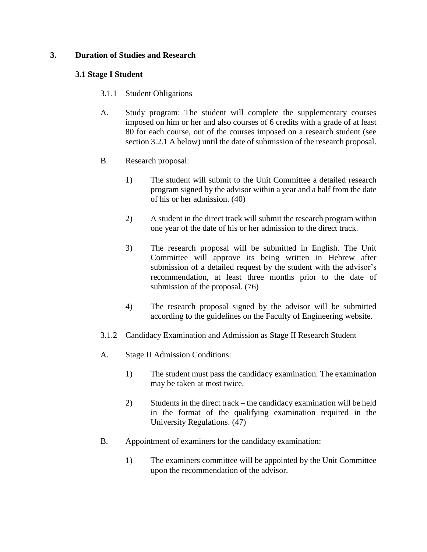#### **3. Duration of Studies and Research**

#### **3.1 Stage I Student**

- 3.1.1 Student Obligations
- A. Study program: The student will complete the supplementary courses imposed on him or her and also courses of 6 credits with a grade of at least 80 for each course, out of the courses imposed on a research student (see section 3.2.1 A below) until the date of submission of the research proposal.
- B. Research proposal:
	- 1) The student will submit to the Unit Committee a detailed research program signed by the advisor within a year and a half from the date of his or her admission. (40)
	- 2) A student in the direct track will submit the research program within one year of the date of his or her admission to the direct track.
	- 3) The research proposal will be submitted in English. The Unit Committee will approve its being written in Hebrew after submission of a detailed request by the student with the advisor's recommendation, at least three months prior to the date of submission of the proposal. (76)
	- 4) The research proposal signed by the advisor will be submitted according to the guidelines on the Faculty of Engineering website.
- 3.1.2 Candidacy Examination and Admission as Stage II Research Student
- A. Stage II Admission Conditions:
	- 1) The student must pass the candidacy examination. The examination may be taken at most twice.
	- 2) Students in the direct track the candidacy examination will be held in the format of the qualifying examination required in the University Regulations. (47)
- B. Appointment of examiners for the candidacy examination:
	- 1) The examiners committee will be appointed by the Unit Committee upon the recommendation of the advisor.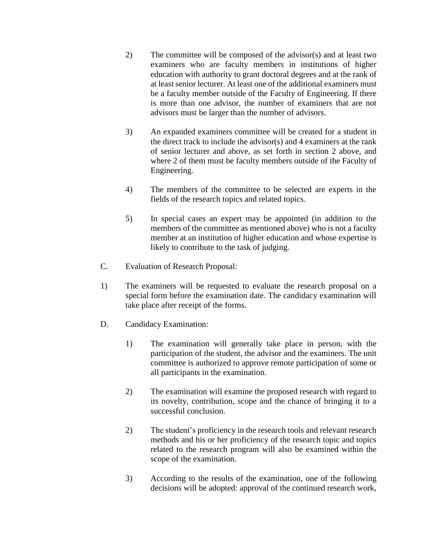- 2) The committee will be composed of the advisor(s) and at least two examiners who are faculty members in institutions of higher education with authority to grant doctoral degrees and at the rank of at least senior lecturer. At least one of the additional examiners must be a faculty member outside of the Faculty of Engineering. If there is more than one advisor, the number of examiners that are not advisors must be larger than the number of advisors.
- 3) An expanded examiners committee will be created for a student in the direct track to include the advisor(s) and 4 examiners at the rank of senior lecturer and above, as set forth in section 2 above, and where 2 of them must be faculty members outside of the Faculty of Engineering.
- 4) The members of the committee to be selected are experts in the fields of the research topics and related topics.
- 5) In special cases an expert may be appointed (in addition to the members of the committee as mentioned above) who is not a faculty member at an institution of higher education and whose expertise is likely to contribute to the task of judging.
- C. Evaluation of Research Proposal:
- 1) The examiners will be requested to evaluate the research proposal on a special form before the examination date. The candidacy examination will take place after receipt of the forms.
- D. Candidacy Examination:
	- 1) The examination will generally take place in person, with the participation of the student, the advisor and the examiners. The unit committee is authorized to approve remote participation of some or all participants in the examination.
	- 2) The examination will examine the proposed research with regard to its novelty, contribution, scope and the chance of bringing it to a successful conclusion.
	- 2) The student's proficiency in the research tools and relevant research methods and his or her proficiency of the research topic and topics related to the research program will also be examined within the scope of the examination.
	- 3) According to the results of the examination, one of the following decisions will be adopted: approval of the continued research work,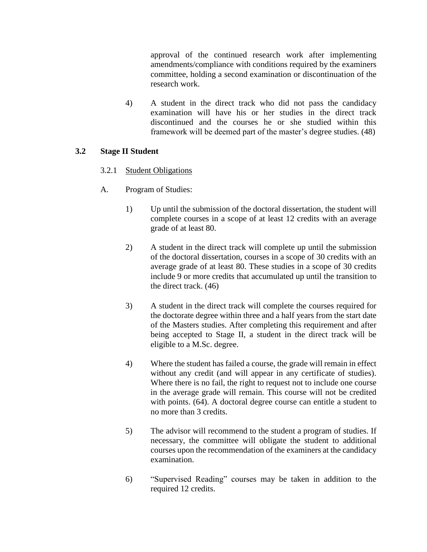approval of the continued research work after implementing amendments/compliance with conditions required by the examiners committee, holding a second examination or discontinuation of the research work.

4) A student in the direct track who did not pass the candidacy examination will have his or her studies in the direct track discontinued and the courses he or she studied within this framework will be deemed part of the master's degree studies. (48)

#### **3.2 Stage II Student**

# 3.2.1 Student Obligations

- A. Program of Studies:
	- 1) Up until the submission of the doctoral dissertation, the student will complete courses in a scope of at least 12 credits with an average grade of at least 80.
	- 2) A student in the direct track will complete up until the submission of the doctoral dissertation, courses in a scope of 30 credits with an average grade of at least 80. These studies in a scope of 30 credits include 9 or more credits that accumulated up until the transition to the direct track. (46)
	- 3) A student in the direct track will complete the courses required for the doctorate degree within three and a half years from the start date of the Masters studies. After completing this requirement and after being accepted to Stage II, a student in the direct track will be eligible to a M.Sc. degree.
	- 4) Where the student has failed a course, the grade will remain in effect without any credit (and will appear in any certificate of studies). Where there is no fail, the right to request not to include one course in the average grade will remain. This course will not be credited with points. (64). A doctoral degree course can entitle a student to no more than 3 credits.
	- 5) The advisor will recommend to the student a program of studies. If necessary, the committee will obligate the student to additional courses upon the recommendation of the examiners at the candidacy examination.
	- 6) "Supervised Reading" courses may be taken in addition to the required 12 credits.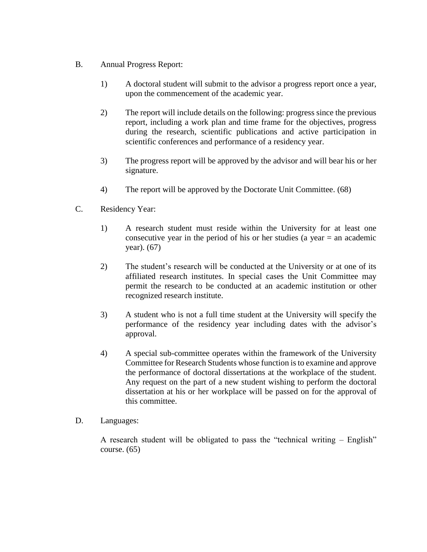- B. Annual Progress Report:
	- 1) A doctoral student will submit to the advisor a progress report once a year, upon the commencement of the academic year.
	- 2) The report will include details on the following: progress since the previous report, including a work plan and time frame for the objectives, progress during the research, scientific publications and active participation in scientific conferences and performance of a residency year.
	- 3) The progress report will be approved by the advisor and will bear his or her signature.
	- 4) The report will be approved by the Doctorate Unit Committee. (68)
- C. Residency Year:
	- 1) A research student must reside within the University for at least one consecutive year in the period of his or her studies (a year = an academic year). (67)
	- 2) The student's research will be conducted at the University or at one of its affiliated research institutes. In special cases the Unit Committee may permit the research to be conducted at an academic institution or other recognized research institute.
	- 3) A student who is not a full time student at the University will specify the performance of the residency year including dates with the advisor's approval.
	- 4) A special sub-committee operates within the framework of the University Committee for Research Students whose function is to examine and approve the performance of doctoral dissertations at the workplace of the student. Any request on the part of a new student wishing to perform the doctoral dissertation at his or her workplace will be passed on for the approval of this committee.
- D. Languages:

A research student will be obligated to pass the "technical writing – English" course.  $(65)$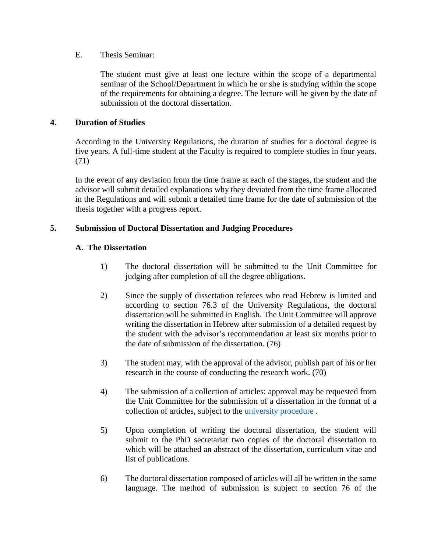#### E. Thesis Seminar:

The student must give at least one lecture within the scope of a departmental seminar of the School/Department in which he or she is studying within the scope of the requirements for obtaining a degree. The lecture will be given by the date of submission of the doctoral dissertation.

#### **4. Duration of Studies**

According to the University Regulations, the duration of studies for a doctoral degree is five years. A full-time student at the Faculty is required to complete studies in four years. (71)

In the event of any deviation from the time frame at each of the stages, the student and the advisor will submit detailed explanations why they deviated from the time frame allocated in the Regulations and will submit a detailed time frame for the date of submission of the thesis together with a progress report.

#### **5. Submission of Doctoral Dissertation and Judging Procedures**

#### **A. The Dissertation**

- 1) The doctoral dissertation will be submitted to the Unit Committee for judging after completion of all the degree obligations.
- 2) Since the supply of dissertation referees who read Hebrew is limited and according to section 76.3 of the University Regulations, the doctoral dissertation will be submitted in English. The Unit Committee will approve writing the dissertation in Hebrew after submission of a detailed request by the student with the advisor's recommendation at least six months prior to the date of submission of the dissertation. (76)
- 3) The student may, with the approval of the advisor, publish part of his or her research in the course of conducting the research work. (70)
- 4) The submission of a collection of articles: approval may be requested from the Unit Committee for the submission of a dissertation in the format of a collection of articles, subject to the [university procedure](https://acad-sec.tau.ac.il/phd/maamar) .
- 5) Upon completion of writing the doctoral dissertation, the student will submit to the PhD secretariat two copies of the doctoral dissertation to which will be attached an abstract of the dissertation, curriculum vitae and list of publications.
- 6) The doctoral dissertation composed of articles will all be written in the same language. The method of submission is subject to section 76 of the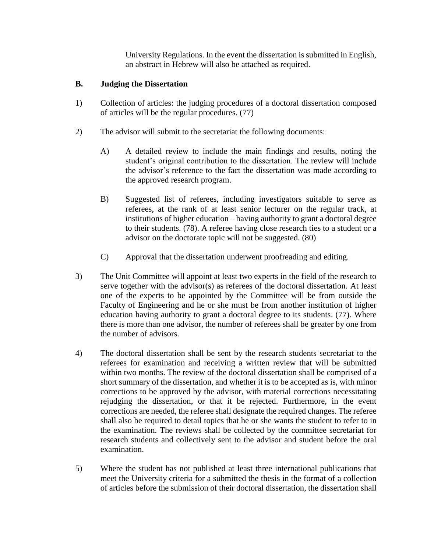University Regulations. In the event the dissertation is submitted in English, an abstract in Hebrew will also be attached as required.

# **B. Judging the Dissertation**

- 1) Collection of articles: the judging procedures of a doctoral dissertation composed of articles will be the regular procedures. (77)
- 2) The advisor will submit to the secretariat the following documents:
	- A) A detailed review to include the main findings and results, noting the student's original contribution to the dissertation. The review will include the advisor's reference to the fact the dissertation was made according to the approved research program.
	- B) Suggested list of referees, including investigators suitable to serve as referees, at the rank of at least senior lecturer on the regular track, at institutions of higher education – having authority to grant a doctoral degree to their students. (78). A referee having close research ties to a student or a advisor on the doctorate topic will not be suggested. (80)
	- C) Approval that the dissertation underwent proofreading and editing.
- 3) The Unit Committee will appoint at least two experts in the field of the research to serve together with the advisor(s) as referees of the doctoral dissertation. At least one of the experts to be appointed by the Committee will be from outside the Faculty of Engineering and he or she must be from another institution of higher education having authority to grant a doctoral degree to its students. (77). Where there is more than one advisor, the number of referees shall be greater by one from the number of advisors.
- 4) The doctoral dissertation shall be sent by the research students secretariat to the referees for examination and receiving a written review that will be submitted within two months. The review of the doctoral dissertation shall be comprised of a short summary of the dissertation, and whether it is to be accepted as is, with minor corrections to be approved by the advisor, with material corrections necessitating rejudging the dissertation, or that it be rejected. Furthermore, in the event corrections are needed, the referee shall designate the required changes. The referee shall also be required to detail topics that he or she wants the student to refer to in the examination. The reviews shall be collected by the committee secretariat for research students and collectively sent to the advisor and student before the oral examination.
- 5) Where the student has not published at least three international publications that meet the University criteria for a submitted the thesis in the format of a collection of articles before the submission of their doctoral dissertation, the dissertation shall